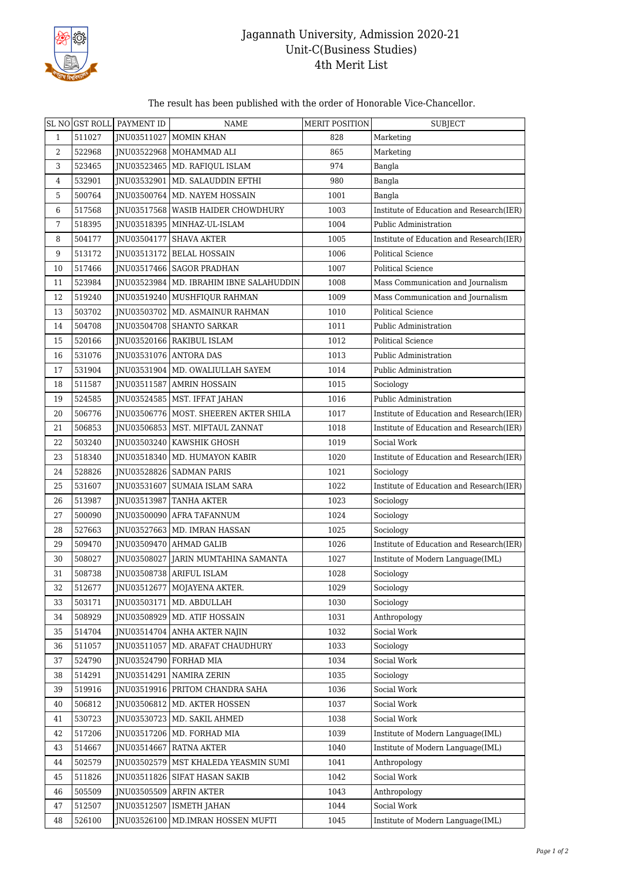

## Jagannath University, Admission 2020-21 Unit-C(Business Studies) 4th Merit List

## The result has been published with the order of Honorable Vice-Chancellor.

|                | SL NO GST ROLL | PAYMENT ID             | <b>NAME</b>                               | MERIT POSITION | <b>SUBJECT</b>                           |
|----------------|----------------|------------------------|-------------------------------------------|----------------|------------------------------------------|
| $\mathbf{1}$   | 511027         | JNU03511027            | <b>MOMIN KHAN</b>                         | 828            | Marketing                                |
| 2              | 522968         |                        | JNU03522968 MOHAMMAD ALI                  | 865            | Marketing                                |
| 3              | 523465         |                        | JNU03523465   MD. RAFIQUL ISLAM           | 974            | Bangla                                   |
| 4              | 532901         |                        | INU03532901   MD. SALAUDDIN EFTHI         | 980            | Bangla                                   |
| 5              | 500764         |                        | INU03500764   MD. NAYEM HOSSAIN           | 1001           | Bangla                                   |
| 6              | 517568         |                        | INU03517568   WASIB HAIDER CHOWDHURY      | 1003           | Institute of Education and Research(IER) |
| $\overline{7}$ | 518395         |                        | JNU03518395   MINHAZ-UL-ISLAM             | 1004           | Public Administration                    |
| 8              | 504177         |                        | JNU03504177   SHAVA AKTER                 | 1005           | Institute of Education and Research(IER) |
| 9              | 513172         |                        | INU03513172 BELAL HOSSAIN                 | 1006           | <b>Political Science</b>                 |
| 10             | 517466         |                        | INU03517466 SAGOR PRADHAN                 | 1007           | <b>Political Science</b>                 |
| 11             | 523984         |                        | JNU03523984   MD. IBRAHIM IBNE SALAHUDDIN | 1008           | Mass Communication and Journalism        |
| 12             | 519240         |                        | JNU03519240   MUSHFIQUR RAHMAN            | 1009           | Mass Communication and Journalism        |
| 13             | 503702         |                        | JNU03503702   MD. ASMAINUR RAHMAN         | 1010           | <b>Political Science</b>                 |
| 14             | 504708         |                        | JNU03504708 SHANTO SARKAR                 | 1011           | Public Administration                    |
| 15             | 520166         |                        | JNU03520166   RAKIBUL ISLAM               | 1012           | <b>Political Science</b>                 |
| 16             | 531076         | JNU03531076 ANTORA DAS |                                           | 1013           | Public Administration                    |
| 17             | 531904         |                        | INU03531904   MD. OWALIULLAH SAYEM        | 1014           | Public Administration                    |
| 18             | 511587         | JNU03511587            | <b>AMRIN HOSSAIN</b>                      | 1015           | Sociology                                |
| 19             | 524585         |                        | JNU03524585   MST. IFFAT JAHAN            | 1016           | Public Administration                    |
| 20             | 506776         |                        | INU03506776   MOST. SHEEREN AKTER SHILA   | 1017           | Institute of Education and Research(IER) |
| 21             | 506853         | JNU03506853            | MST. MIFTAUL ZANNAT                       | 1018           | Institute of Education and Research(IER) |
| 22             | 503240         |                        | JNU03503240   KAWSHIK GHOSH               | 1019           | Social Work                              |
| 23             | 518340         |                        | JNU03518340   MD. HUMAYON KABIR           | 1020           | Institute of Education and Research(IER) |
| 24             | 528826         |                        | JNU03528826 SADMAN PARIS                  | 1021           | Sociology                                |
| 25             | 531607         |                        | INU03531607   SUMAIA ISLAM SARA           | 1022           | Institute of Education and Research(IER) |
| 26             | 513987         | JNU03513987            | <b>TANHA AKTER</b>                        | 1023           | Sociology                                |
| 27             | 500090         | JNU03500090            | AFRA TAFANNUM                             | 1024           | Sociology                                |
| 28             | 527663         |                        | JNU03527663 MD. IMRAN HASSAN              | 1025           | Sociology                                |
| 29             | 509470         |                        | JNU03509470 AHMAD GALIB                   | 1026           | Institute of Education and Research(IER) |
| 30             | 508027         |                        | JNU03508027 JARIN MUMTAHINA SAMANTA       | 1027           | Institute of Modern Language(IML)        |
| 31             | 508738         |                        | JNU03508738 ARIFUL ISLAM                  | 1028           | Sociology                                |
| 32             | 512677         |                        | JNU03512677 MOJAYENA AKTER.               | 1029           | Sociology                                |
| 33             | 503171         |                        | JNU03503171   MD. ABDULLAH                | 1030           | Sociology                                |
| 34             | 508929         | JNU03508929            | MD. ATIF HOSSAIN                          | 1031           | Anthropology                             |
| 35             | 514704         |                        | <b>INU03514704 ANHA AKTER NAJIN</b>       | 1032           | Social Work                              |
| 36             | 511057         | JNU03511057            | MD. ARAFAT CHAUDHURY                      | 1033           | Sociology                                |
| 37             | 524790         | JNU03524790            | FORHAD MIA                                | 1034           | Social Work                              |
| 38             | 514291         |                        | JNU03514291   NAMIRA ZERIN                | 1035           | Sociology                                |
| 39             | 519916         |                        | JNU03519916   PRITOM CHANDRA SAHA         | 1036           | Social Work                              |
| 40             | 506812         | INU03506812            | MD. AKTER HOSSEN                          | 1037           | Social Work                              |
| 41             | 530723         |                        | JNU03530723   MD. SAKIL AHMED             | 1038           | Social Work                              |
| 42             | 517206         |                        | JNU03517206   MD. FORHAD MIA              | 1039           | Institute of Modern Language(IML)        |
| 43             | 514667         | JNU03514667            | <b>RATNA AKTER</b>                        | 1040           | Institute of Modern Language(IML)        |
| 44             | 502579         | JNU03502579            | MST KHALEDA YEASMIN SUMI                  | 1041           | Anthropology                             |
| 45             | 511826         | JNU03511826            | <b>SIFAT HASAN SAKIB</b>                  | 1042           | Social Work                              |
| 46             | 505509         | JNU03505509            | <b>ARFIN AKTER</b>                        | 1043           | Anthropology                             |
| 47             | 512507         | JNU03512507            | <b>ISMETH JAHAN</b>                       | 1044           | Social Work                              |
| 48             | 526100         | JNU03526100            | MD.IMRAN HOSSEN MUFTI                     | 1045           | Institute of Modern Language(IML)        |